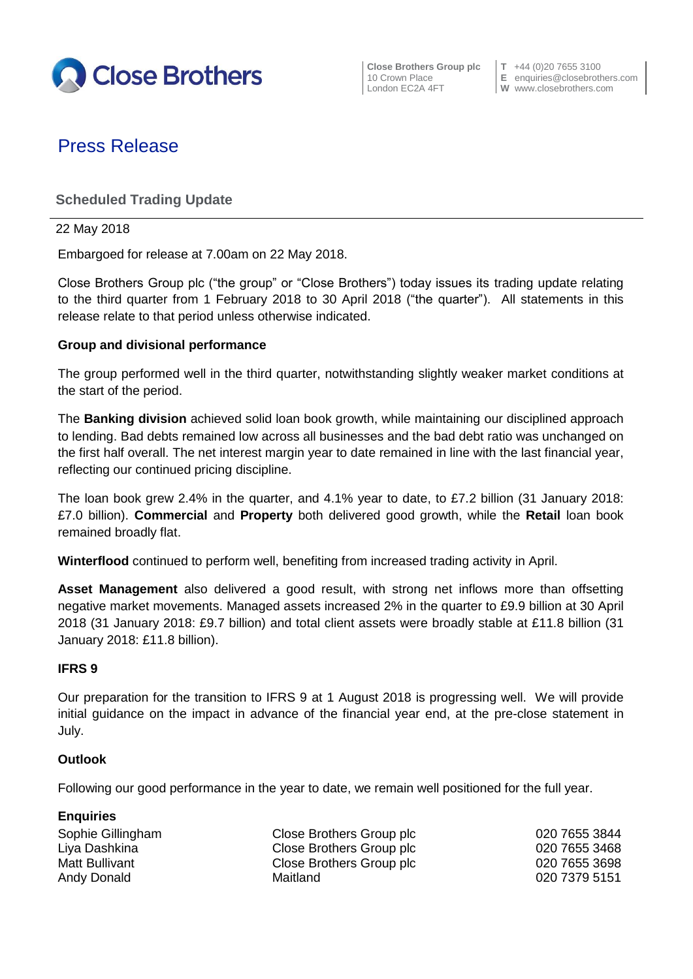

**Close Brothers Group plc T** +44 (0)20 7655 3100

10 Crown Place **E** enquiries@closebrothers.com London EC2A 4FT **W** www.closebrothers.com

# Press Release

## **Scheduled Trading Update**

#### 22 May 2018

Embargoed for release at 7.00am on 22 May 2018.

Close Brothers Group plc ("the group" or "Close Brothers") today issues its trading update relating to the third quarter from 1 February 2018 to 30 April 2018 ("the quarter"). All statements in this release relate to that period unless otherwise indicated.

#### **Group and divisional performance**

The group performed well in the third quarter, notwithstanding slightly weaker market conditions at the start of the period.

The **Banking division** achieved solid loan book growth, while maintaining our disciplined approach to lending. Bad debts remained low across all businesses and the bad debt ratio was unchanged on the first half overall. The net interest margin year to date remained in line with the last financial year, reflecting our continued pricing discipline.

The loan book grew 2.4% in the quarter, and 4.1% year to date, to £7.2 billion (31 January 2018: £7.0 billion). **Commercial** and **Property** both delivered good growth, while the **Retail** loan book remained broadly flat.

**Winterflood** continued to perform well, benefiting from increased trading activity in April.

**Asset Management** also delivered a good result, with strong net inflows more than offsetting negative market movements. Managed assets increased 2% in the quarter to £9.9 billion at 30 April 2018 (31 January 2018: £9.7 billion) and total client assets were broadly stable at £11.8 billion (31 January 2018: £11.8 billion).

#### **IFRS 9**

Our preparation for the transition to IFRS 9 at 1 August 2018 is progressing well. We will provide initial guidance on the impact in advance of the financial year end, at the pre-close statement in July.

#### **Outlook**

Following our good performance in the year to date, we remain well positioned for the full year.

| <b>Enquiries</b>  |                          |               |
|-------------------|--------------------------|---------------|
| Sophie Gillingham | Close Brothers Group plc | 020 7655 3844 |
| Liya Dashkina     | Close Brothers Group plc | 020 7655 3468 |
| Matt Bullivant    | Close Brothers Group plc | 020 7655 3698 |
| Andy Donald       | Maitland                 | 020 7379 5151 |